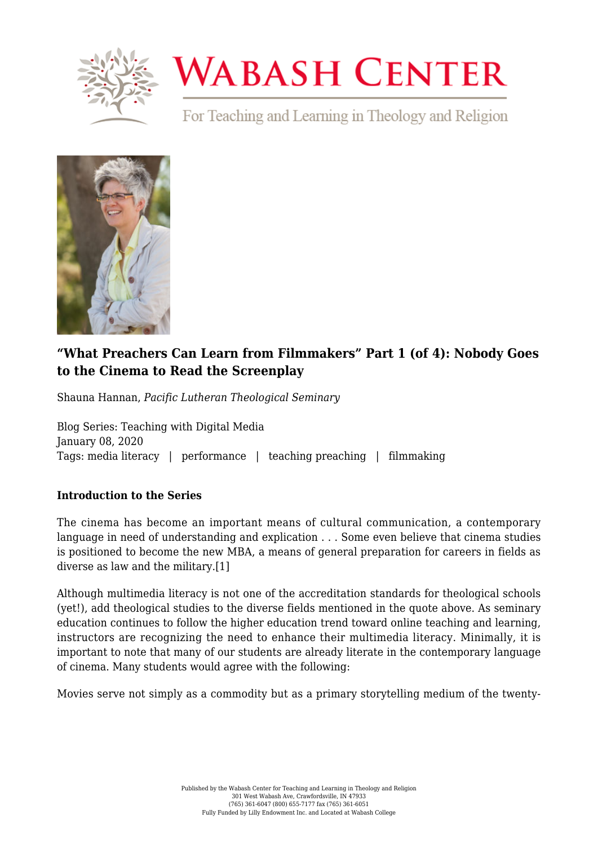

## **WABASH CENTER**

For Teaching and Learning in Theology and Religion



## **["What Preachers Can Learn from Filmmakers" Part 1 \(of 4\): Nobody Goes](https://www.wabashcenter.wabash.edu/2020/01/what-preachers-can-learn-from-filmmakers-part-1-of-4-nobody-goes-to-the-cinema-to-read-the-screenplay/) [to the Cinema to Read the Screenplay](https://www.wabashcenter.wabash.edu/2020/01/what-preachers-can-learn-from-filmmakers-part-1-of-4-nobody-goes-to-the-cinema-to-read-the-screenplay/)**

Shauna Hannan, *Pacific Lutheran Theological Seminary*

Blog Series: Teaching with Digital Media January 08, 2020 Tags: media literacy | performance | teaching preaching | filmmaking

## **Introduction to the Series**

The cinema has become an important means of cultural communication, a contemporary language in need of understanding and explication . . . Some even believe that cinema studies is positioned to become the new MBA, a means of general preparation for careers in fields as diverse as law and the military.[\[1\]](#page-2-0)

<span id="page-0-0"></span>Although multimedia literacy is not one of the accreditation standards for theological schools (yet!), add theological studies to the diverse fields mentioned in the quote above. As seminary education continues to follow the higher education trend toward online teaching and learning, instructors are recognizing the need to enhance their multimedia literacy. Minimally, it is important to note that many of our students are already literate in the contemporary language of cinema. Many students would agree with the following:

Movies serve not simply as a commodity but as a primary storytelling medium of the twenty-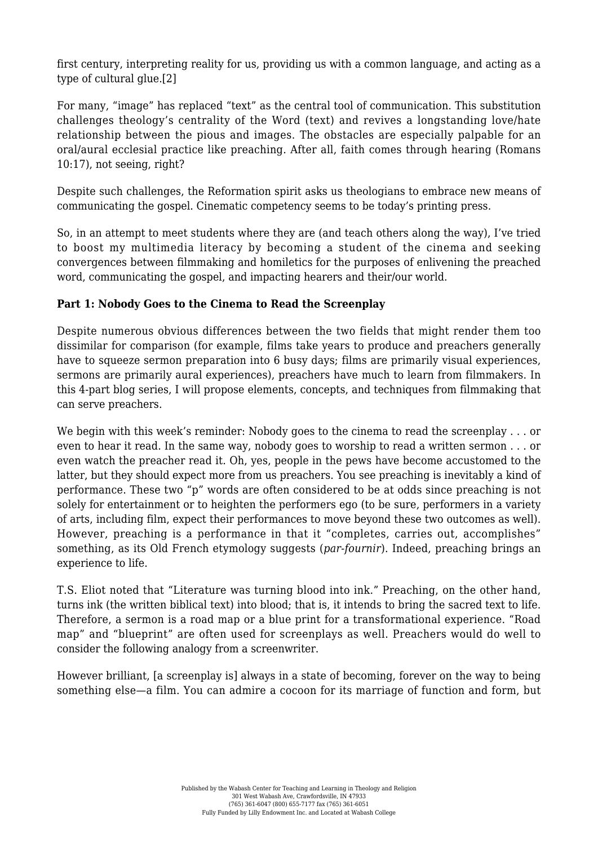<span id="page-1-0"></span>first century, interpreting reality for us, providing us with a common language, and acting as a type of cultural glue.[\[2\]](#page-2-1)

For many, "image" has replaced "text" as the central tool of communication. This substitution challenges theology's centrality of the Word (text) and revives a longstanding love/hate relationship between the pious and images. The obstacles are especially palpable for an oral/aural ecclesial practice like preaching. After all, faith comes through hearing (Romans 10:17), not seeing, right?

Despite such challenges, the Reformation spirit asks us theologians to embrace new means of communicating the gospel. Cinematic competency seems to be today's printing press.

So, in an attempt to meet students where they are (and teach others along the way), I've tried to boost my multimedia literacy by becoming a student of the cinema and seeking convergences between filmmaking and homiletics for the purposes of enlivening the preached word, communicating the gospel, and impacting hearers and their/our world.

## **Part 1: Nobody Goes to the Cinema to Read the Screenplay**

Despite numerous obvious differences between the two fields that might render them too dissimilar for comparison (for example, films take years to produce and preachers generally have to squeeze sermon preparation into 6 busy days; films are primarily visual experiences, sermons are primarily aural experiences), preachers have much to learn from filmmakers. In this 4-part blog series, I will propose elements, concepts, and techniques from filmmaking that can serve preachers.

We begin with this week's reminder: Nobody goes to the cinema to read the screenplay . . . or even to hear it read. In the same way, nobody goes to worship to read a written sermon . . . or even watch the preacher read it. Oh, yes, people in the pews have become accustomed to the latter, but they should expect more from us preachers. You see preaching is inevitably a kind of performance. These two "p" words are often considered to be at odds since preaching is not solely for entertainment or to heighten the performers ego (to be sure, performers in a variety of arts, including film, expect their performances to move beyond these two outcomes as well). However, preaching is a performance in that it "completes, carries out, accomplishes" something, as its Old French etymology suggests (*par-fournir*). Indeed, preaching brings an experience to life.

T.S. Eliot noted that "Literature was turning blood into ink." Preaching, on the other hand, turns ink (the written biblical text) into blood; that is, it intends to bring the sacred text to life. Therefore, a sermon is a road map or a blue print for a transformational experience. "Road map" and "blueprint" are often used for screenplays as well. Preachers would do well to consider the following analogy from a screenwriter.

<span id="page-1-1"></span>However brilliant, [a screenplay is] always in a state of becoming, forever on the way to being something else—a film. You can admire a cocoon for its marriage of function and form, but